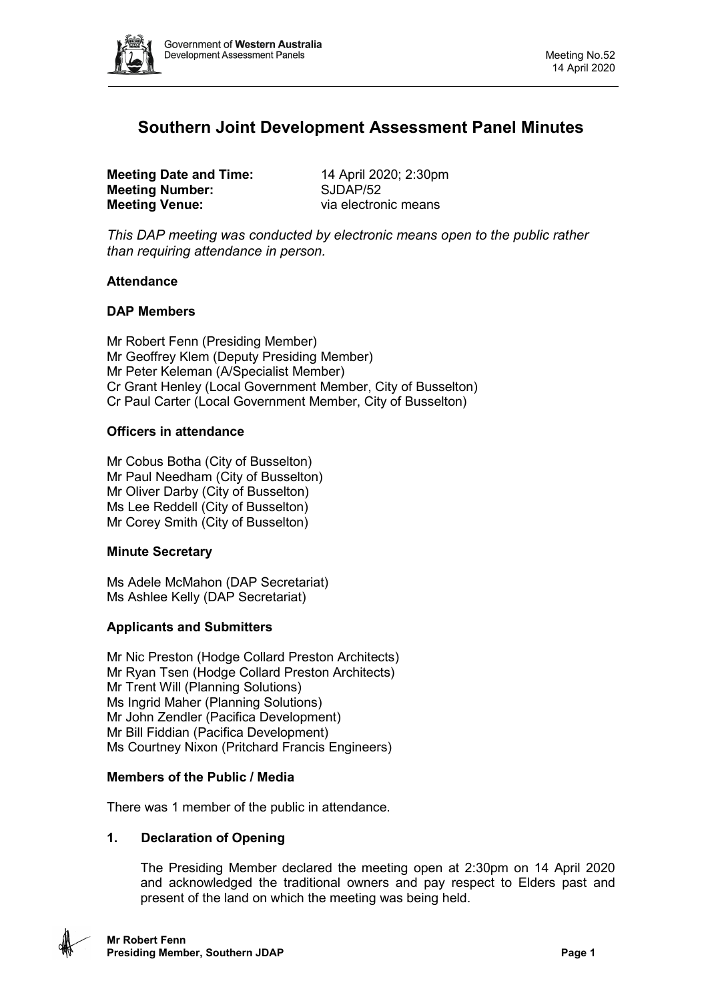

# **Southern Joint Development Assessment Panel Minutes**

**Meeting Date and Time:** 14 April 2020; 2:30pm<br> **Meeting Number:** SJDAP/52 **Meeting Number: Meeting Venue:** via electronic means

*This DAP meeting was conducted by electronic means open to the public rather than requiring attendance in person.*

# **Attendance**

### **DAP Members**

Mr Robert Fenn (Presiding Member) Mr Geoffrey Klem (Deputy Presiding Member) Mr Peter Keleman (A/Specialist Member) Cr Grant Henley (Local Government Member, City of Busselton) Cr Paul Carter (Local Government Member, City of Busselton)

### **Officers in attendance**

Mr Cobus Botha (City of Busselton) Mr Paul Needham (City of Busselton) Mr Oliver Darby (City of Busselton) Ms Lee Reddell (City of Busselton) Mr Corey Smith (City of Busselton)

# **Minute Secretary**

Ms Adele McMahon (DAP Secretariat) Ms Ashlee Kelly (DAP Secretariat)

# **Applicants and Submitters**

Mr Nic Preston (Hodge Collard Preston Architects) Mr Ryan Tsen (Hodge Collard Preston Architects) Mr Trent Will (Planning Solutions) Ms Ingrid Maher (Planning Solutions) Mr John Zendler (Pacifica Development) Mr Bill Fiddian (Pacifica Development) Ms Courtney Nixon (Pritchard Francis Engineers)

#### **Members of the Public / Media**

There was 1 member of the public in attendance.

# **1. Declaration of Opening**

The Presiding Member declared the meeting open at 2:30pm on 14 April 2020 and acknowledged the traditional owners and pay respect to Elders past and present of the land on which the meeting was being held.

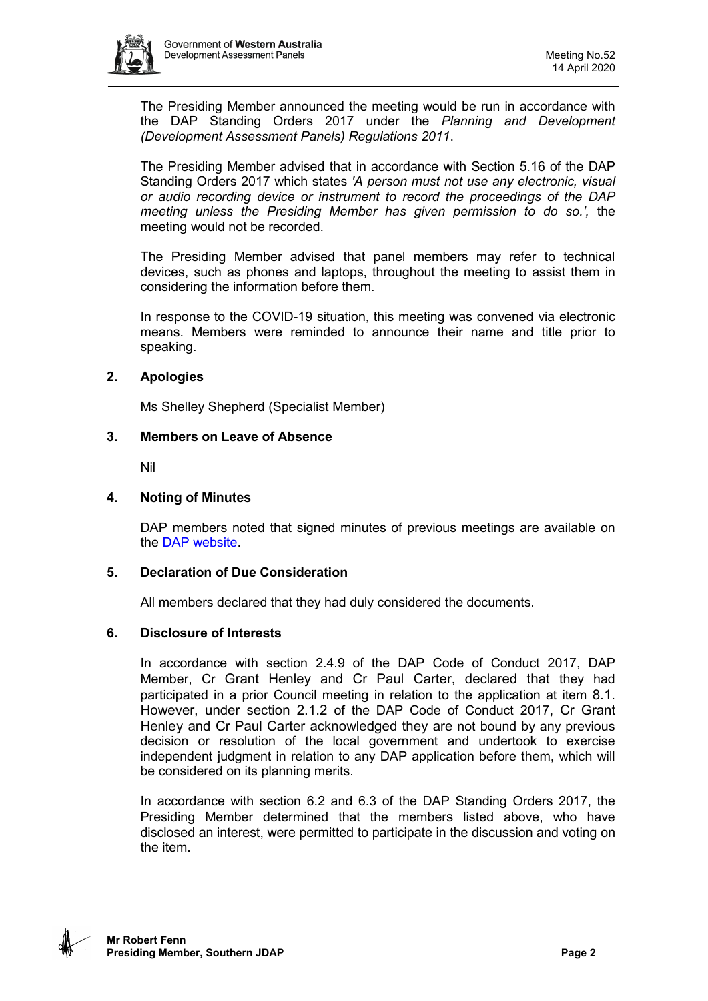

The Presiding Member announced the meeting would be run in accordance with the DAP Standing Orders 2017 under the *Planning and Development (Development Assessment Panels) Regulations 2011*.

The Presiding Member advised that in accordance with Section 5.16 of the DAP Standing Orders 2017 which states *'A person must not use any electronic, visual or audio recording device or instrument to record the proceedings of the DAP meeting unless the Presiding Member has given permission to do so.',* the meeting would not be recorded.

The Presiding Member advised that panel members may refer to technical devices, such as phones and laptops, throughout the meeting to assist them in considering the information before them.

In response to the COVID-19 situation, this meeting was convened via electronic means. Members were reminded to announce their name and title prior to speaking.

# **2. Apologies**

Ms Shelley Shepherd (Specialist Member)

### **3. Members on Leave of Absence**

Nil

### **4. Noting of Minutes**

DAP members noted that signed minutes of previous meetings are available on the [DAP website.](https://www.dplh.wa.gov.au/about/development-assessment-panels/daps-agendas-and-minutes)

# **5. Declaration of Due Consideration**

All members declared that they had duly considered the documents.

# **6. Disclosure of Interests**

In accordance with section 2.4.9 of the DAP Code of Conduct 2017, DAP Member, Cr Grant Henley and Cr Paul Carter, declared that they had participated in a prior Council meeting in relation to the application at item 8.1. However, under section 2.1.2 of the DAP Code of Conduct 2017, Cr Grant Henley and Cr Paul Carter acknowledged they are not bound by any previous decision or resolution of the local government and undertook to exercise independent judgment in relation to any DAP application before them, which will be considered on its planning merits.

In accordance with section 6.2 and 6.3 of the DAP Standing Orders 2017, the Presiding Member determined that the members listed above, who have disclosed an interest, were permitted to participate in the discussion and voting on the item.

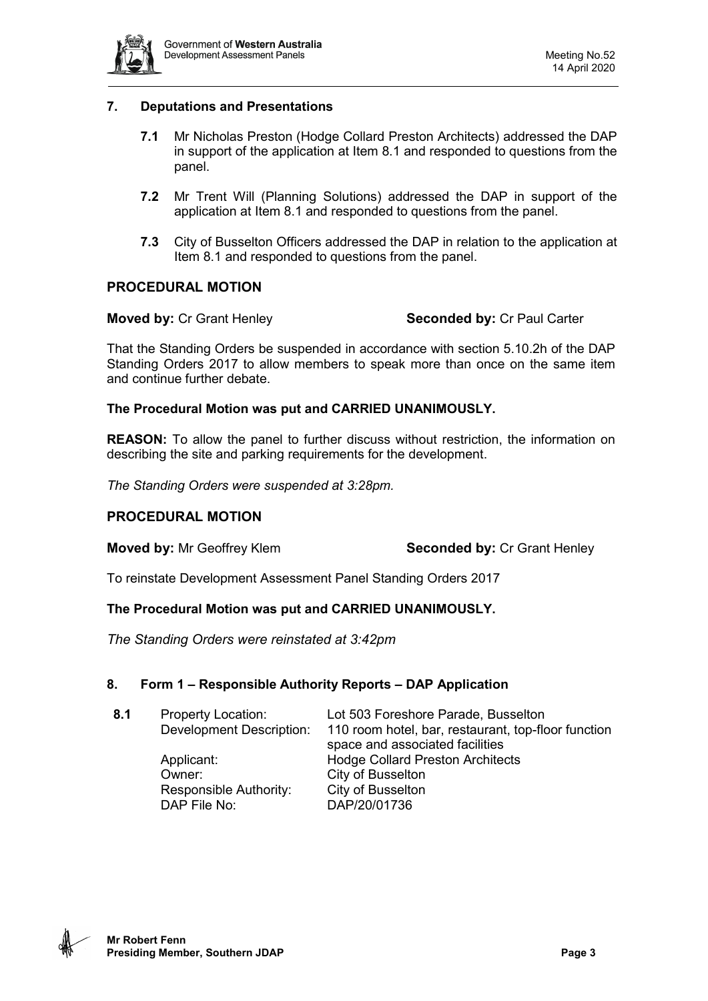

# **7. Deputations and Presentations**

- **7.1** Mr Nicholas Preston (Hodge Collard Preston Architects) addressed the DAP in support of the application at Item 8.1 and responded to questions from the panel.
- **7.2** Mr Trent Will (Planning Solutions) addressed the DAP in support of the application at Item 8.1 and responded to questions from the panel.
- **7.3** City of Busselton Officers addressed the DAP in relation to the application at Item 8.1 and responded to questions from the panel.

### **PROCEDURAL MOTION**

**Moved by:** Cr Grant Henley **Seconded by:** Cr Paul Carter

That the Standing Orders be suspended in accordance with section 5.10.2h of the DAP Standing Orders 2017 to allow members to speak more than once on the same item and continue further debate.

#### **The Procedural Motion was put and CARRIED UNANIMOUSLY.**

**REASON:** To allow the panel to further discuss without restriction, the information on describing the site and parking requirements for the development.

*The Standing Orders were suspended at 3:28pm.*

#### **PROCEDURAL MOTION**

#### **Moved by:** Mr Geoffrey Klem **Seconded by:** Cr Grant Henley

To reinstate Development Assessment Panel Standing Orders 2017

#### **The Procedural Motion was put and CARRIED UNANIMOUSLY.**

*The Standing Orders were reinstated at 3:42pm* 

#### **8. Form 1 – Responsible Authority Reports – DAP Application**

| 8.1 | <b>Property Location:</b><br>Development Description: | Lot 503 Foreshore Parade, Busselton<br>110 room hotel, bar, restaurant, top-floor function |
|-----|-------------------------------------------------------|--------------------------------------------------------------------------------------------|
|     | Applicant:<br>Owner:                                  | space and associated facilities<br><b>Hodge Collard Preston Architects</b>                 |
|     | Responsible Authority:<br>DAP File No:                | City of Busselton<br>City of Busselton<br>DAP/20/01736                                     |
|     |                                                       |                                                                                            |

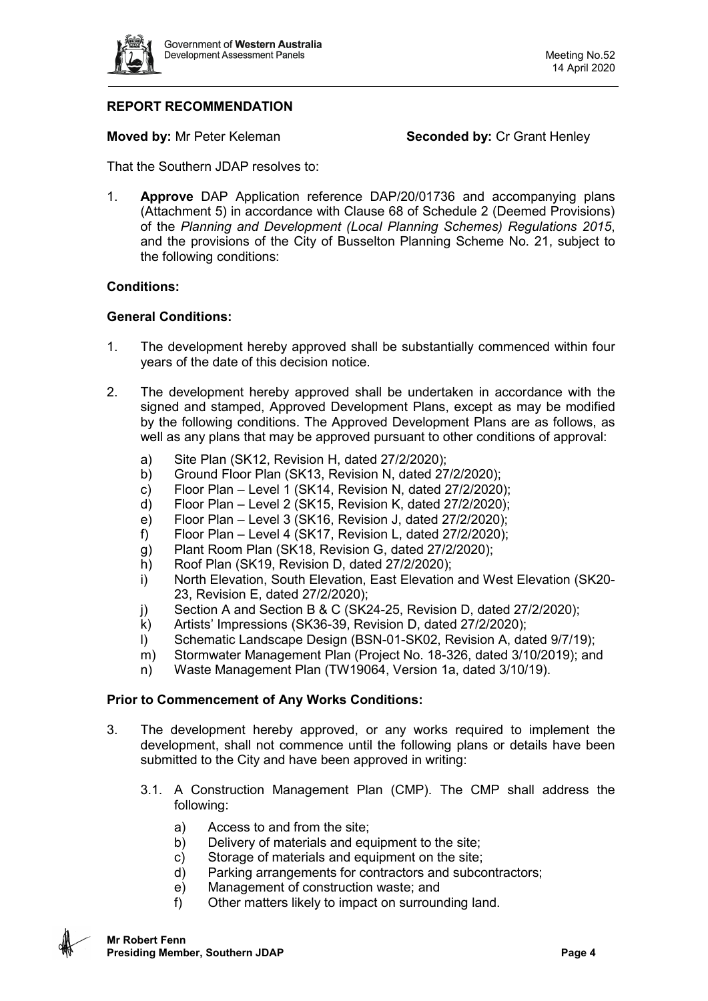

# **REPORT RECOMMENDATION**

**Moved by:** Mr Peter Keleman **Seconded by:** Cr Grant Henley

That the Southern JDAP resolves to:

1. **Approve** DAP Application reference DAP/20/01736 and accompanying plans (Attachment 5) in accordance with Clause 68 of Schedule 2 (Deemed Provisions) of the *Planning and Development (Local Planning Schemes) Regulations 2015*, and the provisions of the City of Busselton Planning Scheme No. 21, subject to the following conditions:

### **Conditions:**

### **General Conditions:**

- 1. The development hereby approved shall be substantially commenced within four years of the date of this decision notice.
- 2. The development hereby approved shall be undertaken in accordance with the signed and stamped, Approved Development Plans, except as may be modified by the following conditions. The Approved Development Plans are as follows, as well as any plans that may be approved pursuant to other conditions of approval:
	- a) Site Plan (SK12, Revision H, dated 27/2/2020);<br>b) Ground Floor Plan (SK13, Revision N, dated 27
	- b) Ground Floor Plan (SK13, Revision N, dated 27/2/2020);
	- c) Floor Plan Level 1 (SK14, Revision N, dated  $27/2/2020$ );
	- d) Floor Plan Level 2 (SK15, Revision K, dated 27/2/2020);
	- e) Floor Plan Level 3 (SK16, Revision J, dated 27/2/2020);
	- f) Floor Plan Level 4 (SK17, Revision L, dated 27/2/2020);
	- g) Plant Room Plan (SK18, Revision G, dated 27/2/2020);
	- h) Roof Plan (SK19, Revision D, dated 27/2/2020);
	- i) North Elevation, South Elevation, East Elevation and West Elevation (SK20- 23, Revision E, dated 27/2/2020);
	- j) Section A and Section B & C (SK24-25, Revision D, dated 27/2/2020);
	- k) Artists' Impressions (SK36-39, Revision D, dated 27/2/2020);
	- l) Schematic Landscape Design (BSN-01-SK02, Revision A, dated 9/7/19);
	- m) Stormwater Management Plan (Project No. 18-326, dated 3/10/2019); and
	- n) Waste Management Plan (TW19064, Version 1a, dated 3/10/19).

#### **Prior to Commencement of Any Works Conditions:**

- 3. The development hereby approved, or any works required to implement the development, shall not commence until the following plans or details have been submitted to the City and have been approved in writing:
	- 3.1. A Construction Management Plan (CMP). The CMP shall address the following:
		- a) Access to and from the site;
		- b) Delivery of materials and equipment to the site;
		- c) Storage of materials and equipment on the site;
		- d) Parking arrangements for contractors and subcontractors;
		- e) Management of construction waste; and
		- f) Other matters likely to impact on surrounding land.

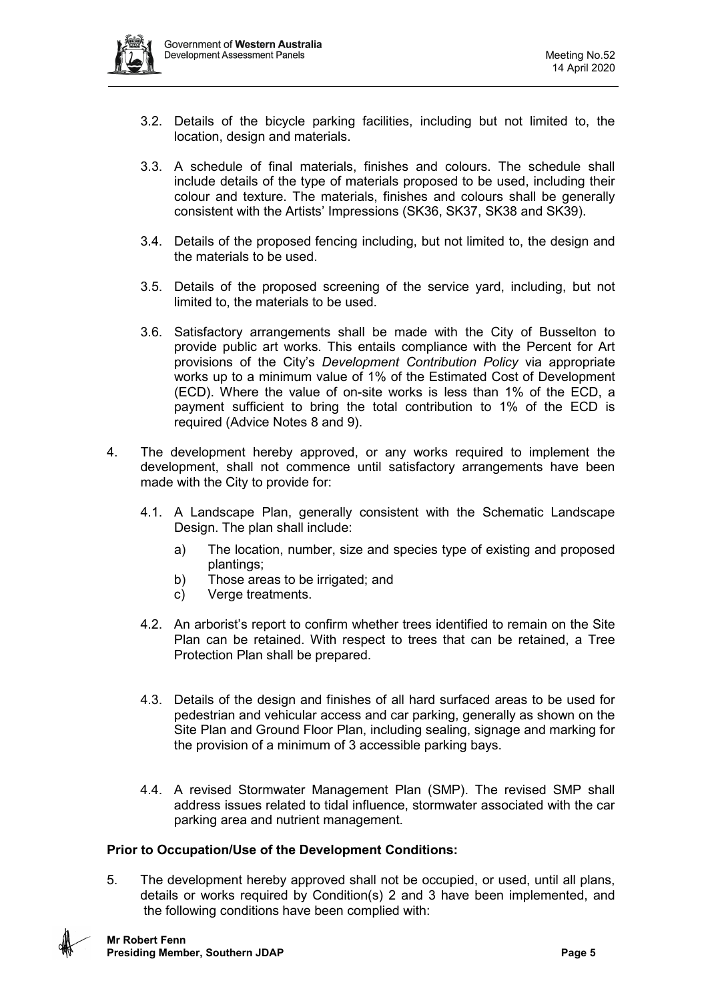- 3.2. Details of the bicycle parking facilities, including but not limited to, the location, design and materials.
- 3.3. A schedule of final materials, finishes and colours. The schedule shall include details of the type of materials proposed to be used, including their colour and texture. The materials, finishes and colours shall be generally consistent with the Artists' Impressions (SK36, SK37, SK38 and SK39).
- 3.4. Details of the proposed fencing including, but not limited to, the design and the materials to be used.
- 3.5. Details of the proposed screening of the service yard, including, but not limited to, the materials to be used.
- 3.6. Satisfactory arrangements shall be made with the City of Busselton to provide public art works. This entails compliance with the Percent for Art provisions of the City's *Development Contribution Policy* via appropriate works up to a minimum value of 1% of the Estimated Cost of Development (ECD). Where the value of on-site works is less than 1% of the ECD, a payment sufficient to bring the total contribution to 1% of the ECD is required (Advice Notes 8 and 9).
- 4. The development hereby approved, or any works required to implement the development, shall not commence until satisfactory arrangements have been made with the City to provide for:
	- 4.1. A Landscape Plan, generally consistent with the Schematic Landscape Design. The plan shall include:
		- a) The location, number, size and species type of existing and proposed plantings;
		- b) Those areas to be irrigated; and
		- c) Verge treatments.
	- 4.2. An arborist's report to confirm whether trees identified to remain on the Site Plan can be retained. With respect to trees that can be retained, a Tree Protection Plan shall be prepared.
	- 4.3. Details of the design and finishes of all hard surfaced areas to be used for pedestrian and vehicular access and car parking, generally as shown on the Site Plan and Ground Floor Plan, including sealing, signage and marking for the provision of a minimum of 3 accessible parking bays.
	- 4.4. A revised Stormwater Management Plan (SMP). The revised SMP shall address issues related to tidal influence, stormwater associated with the car parking area and nutrient management.

# **Prior to Occupation/Use of the Development Conditions:**

5. The development hereby approved shall not be occupied, or used, until all plans, details or works required by Condition(s) 2 and 3 have been implemented, and the following conditions have been complied with:

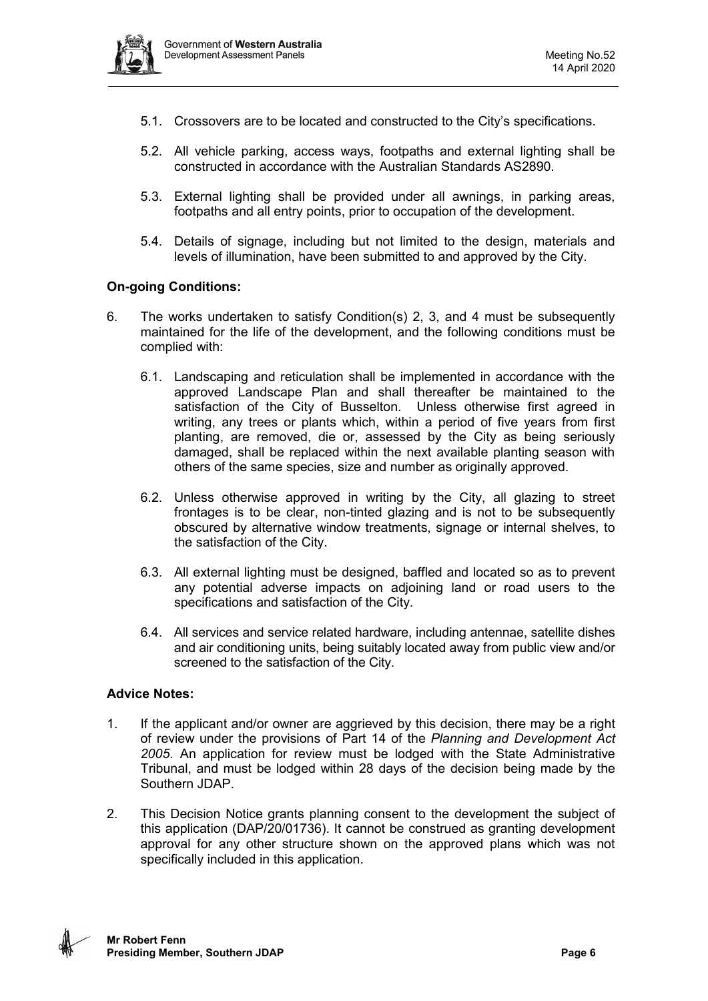

- 5.1. Crossovers are to be located and constructed to the City's specifications.
- 5.2. All vehicle parking, access ways, footpaths and external lighting shall be constructed in accordance with the Australian Standards AS2890.
- 5.3. External lighting shall be provided under all awnings, in parking areas, footpaths and all entry points, prior to occupation of the development.
- 5.4. Details of signage, including but not limited to the design, materials and levels of illumination, have been submitted to and approved by the City.

### **On-going Conditions:**

- 6. The works undertaken to satisfy Condition(s) 2, 3, and 4 must be subsequently maintained for the life of the development, and the following conditions must be complied with:
	- 6.1. Landscaping and reticulation shall be implemented in accordance with the approved Landscape Plan and shall thereafter be maintained to the satisfaction of the City of Busselton. Unless otherwise first agreed in writing, any trees or plants which, within a period of five years from first planting, are removed, die or, assessed by the City as being seriously damaged, shall be replaced within the next available planting season with others of the same species, size and number as originally approved.
	- 6.2. Unless otherwise approved in writing by the City, all glazing to street frontages is to be clear, non-tinted glazing and is not to be subsequently obscured by alternative window treatments, signage or internal shelves, to the satisfaction of the City.
	- 6.3. All external lighting must be designed, baffled and located so as to prevent any potential adverse impacts on adjoining land or road users to the specifications and satisfaction of the City.
	- 6.4. All services and service related hardware, including antennae, satellite dishes and air conditioning units, being suitably located away from public view and/or screened to the satisfaction of the City.

#### **Advice Notes:**

- 1. If the applicant and/or owner are aggrieved by this decision, there may be a right of review under the provisions of Part 14 of the *Planning and Development Act 2005*. An application for review must be lodged with the State Administrative Tribunal, and must be lodged within 28 days of the decision being made by the Southern JDAP.
- 2. This Decision Notice grants planning consent to the development the subject of this application (DAP/20/01736). It cannot be construed as granting development approval for any other structure shown on the approved plans which was not specifically included in this application.

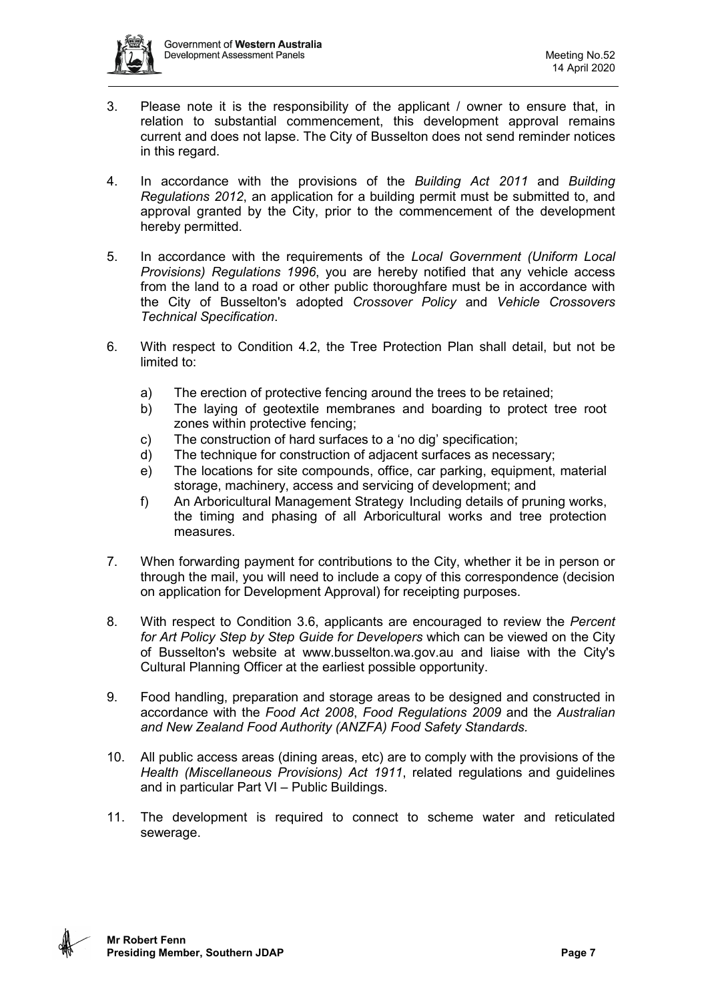

- 3. Please note it is the responsibility of the applicant / owner to ensure that, in relation to substantial commencement, this development approval remains current and does not lapse. The City of Busselton does not send reminder notices in this regard.
- 4. In accordance with the provisions of the *Building Act 2011* and *Building Regulations 2012*, an application for a building permit must be submitted to, and approval granted by the City, prior to the commencement of the development hereby permitted.
- 5. In accordance with the requirements of the *Local Government (Uniform Local Provisions) Regulations 1996*, you are hereby notified that any vehicle access from the land to a road or other public thoroughfare must be in accordance with the City of Busselton's adopted *Crossover Policy* and *Vehicle Crossovers Technical Specification*.
- 6. With respect to Condition 4.2, the Tree Protection Plan shall detail, but not be limited to:
	- a) The erection of protective fencing around the trees to be retained;
	- b) The laying of geotextile membranes and boarding to protect tree root zones within protective fencing;
	- c) The construction of hard surfaces to a 'no dig' specification;
	- d) The technique for construction of adjacent surfaces as necessary;
	- e) The locations for site compounds, office, car parking, equipment, material storage, machinery, access and servicing of development; and
	- f) An Arboricultural Management Strategy Including details of pruning works, the timing and phasing of all Arboricultural works and tree protection measures.
- 7. When forwarding payment for contributions to the City, whether it be in person or through the mail, you will need to include a copy of this correspondence (decision on application for Development Approval) for receipting purposes.
- 8. With respect to Condition 3.6, applicants are encouraged to review the *Percent for Art Policy Step by Step Guide for Developers* which can be viewed on the City of Busselton's website at www.busselton.wa.gov.au and liaise with the City's Cultural Planning Officer at the earliest possible opportunity.
- 9. Food handling, preparation and storage areas to be designed and constructed in accordance with the *Food Act 2008*, *Food Regulations 2009* and the *Australian and New Zealand Food Authority (ANZFA) Food Safety Standards.*
- 10. All public access areas (dining areas, etc) are to comply with the provisions of the *Health (Miscellaneous Provisions) Act 1911*, related regulations and guidelines and in particular Part VI – Public Buildings.
- 11. The development is required to connect to scheme water and reticulated sewerage.

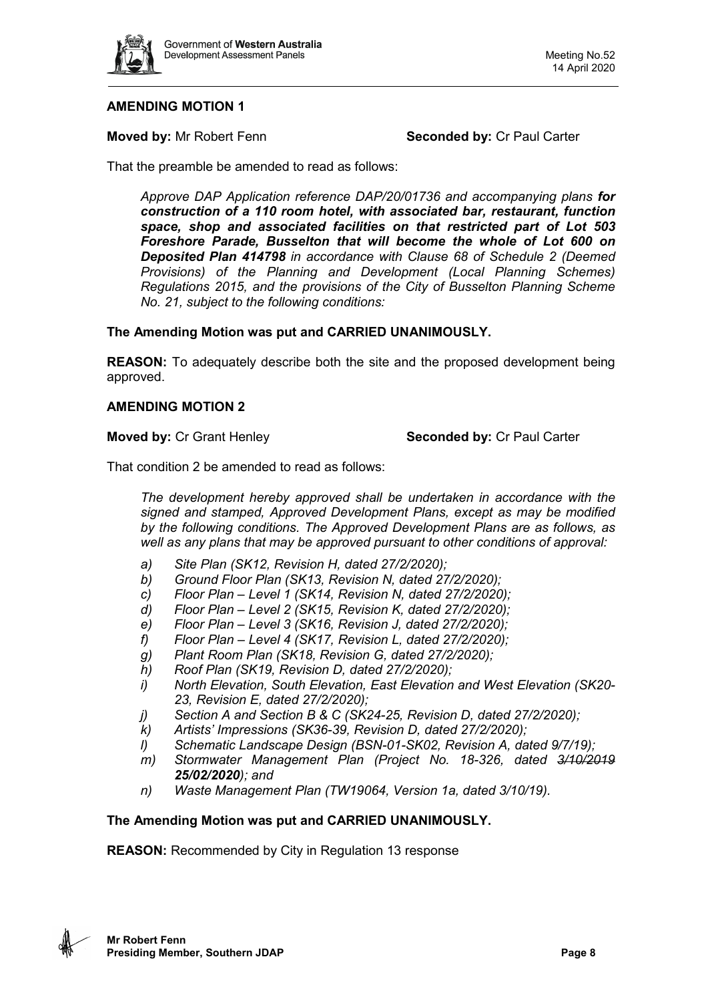

**Moved by:** Mr Robert Fenn **Seconded by: Cr Paul Carter** 

That the preamble be amended to read as follows:

*Approve DAP Application reference DAP/20/01736 and accompanying plans for construction of a 110 room hotel, with associated bar, restaurant, function space, shop and associated facilities on that restricted part of Lot 503 Foreshore Parade, Busselton that will become the whole of Lot 600 on Deposited Plan 414798 in accordance with Clause 68 of Schedule 2 (Deemed Provisions) of the Planning and Development (Local Planning Schemes) Regulations 2015, and the provisions of the City of Busselton Planning Scheme No. 21, subject to the following conditions:*

# **The Amending Motion was put and CARRIED UNANIMOUSLY.**

**REASON:** To adequately describe both the site and the proposed development being approved.

# **AMENDING MOTION 2**

**Moved by:** Cr Grant Henley **Seconded by:** Cr Paul Carter

That condition 2 be amended to read as follows:

*The development hereby approved shall be undertaken in accordance with the signed and stamped, Approved Development Plans, except as may be modified by the following conditions. The Approved Development Plans are as follows, as well as any plans that may be approved pursuant to other conditions of approval:*

- *a) Site Plan (SK12, Revision H, dated 27/2/2020);*
- *b) Ground Floor Plan (SK13, Revision N, dated 27/2/2020);*
- *c) Floor Plan – Level 1 (SK14, Revision N, dated 27/2/2020);*
- *d) Floor Plan – Level 2 (SK15, Revision K, dated 27/2/2020);*
- *e) Floor Plan – Level 3 (SK16, Revision J, dated 27/2/2020);*
- *f) Floor Plan – Level 4 (SK17, Revision L, dated 27/2/2020);*
- *g) Plant Room Plan (SK18, Revision G, dated 27/2/2020);*
- *h) Roof Plan (SK19, Revision D, dated 27/2/2020);*
- *i) North Elevation, South Elevation, East Elevation and West Elevation (SK20- 23, Revision E, dated 27/2/2020);*
- *j) Section A and Section B & C (SK24-25, Revision D, dated 27/2/2020);*
- *k) Artists' Impressions (SK36-39, Revision D, dated 27/2/2020);*
- *l) Schematic Landscape Design (BSN-01-SK02, Revision A, dated 9/7/19);*
- *m) Stormwater Management Plan (Project No. 18-326, dated 3/10/2019 25/02/2020); and*
- *n) Waste Management Plan (TW19064, Version 1a, dated 3/10/19).*

# **The Amending Motion was put and CARRIED UNANIMOUSLY.**

**REASON:** Recommended by City in Regulation 13 response

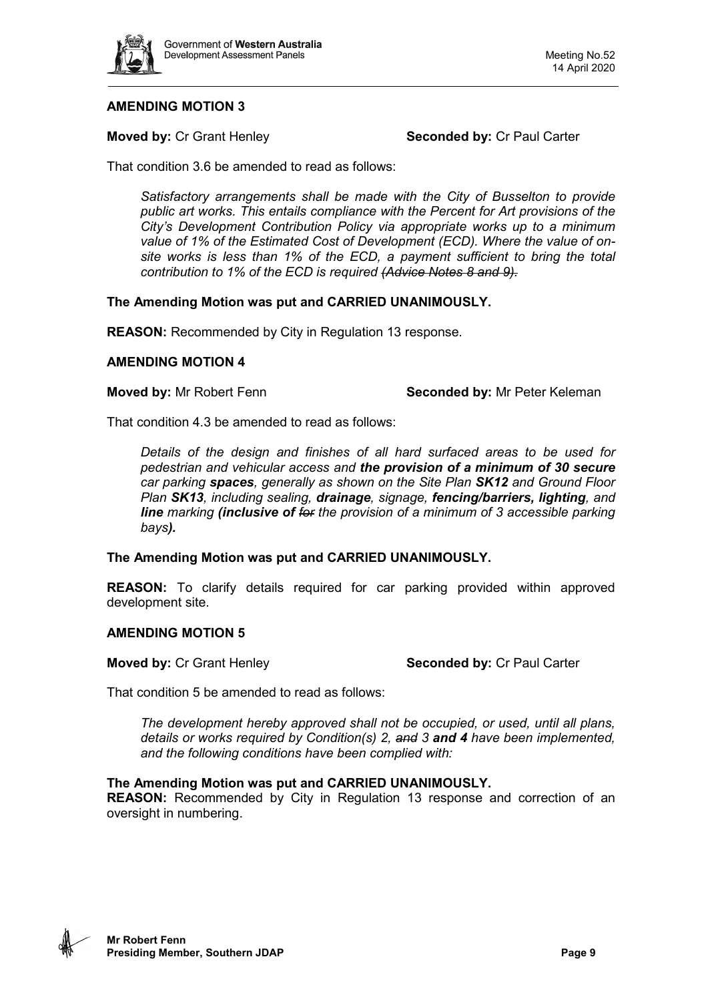

**Moved by: Cr Grant Henley <b>Seconded by: Cr Paul Carter** 

That condition 3.6 be amended to read as follows:

*Satisfactory arrangements shall be made with the City of Busselton to provide public art works. This entails compliance with the Percent for Art provisions of the City's Development Contribution Policy via appropriate works up to a minimum value of 1% of the Estimated Cost of Development (ECD). Where the value of onsite works is less than 1% of the ECD, a payment sufficient to bring the total contribution to 1% of the ECD is required (Advice Notes 8 and 9).*

### **The Amending Motion was put and CARRIED UNANIMOUSLY.**

**REASON:** Recommended by City in Regulation 13 response.

#### **AMENDING MOTION 4**

**Moved by:** Mr Robert Fenn **Seconded by:** Mr Peter Keleman

That condition 4.3 be amended to read as follows:

*Details of the design and finishes of all hard surfaced areas to be used for pedestrian and vehicular access and the provision of a minimum of 30 secure car parking spaces, generally as shown on the Site Plan SK12 and Ground Floor Plan SK13, including sealing, drainage, signage, fencing/barriers, lighting, and line marking (inclusive of for the provision of a minimum of 3 accessible parking bays).*

#### **The Amending Motion was put and CARRIED UNANIMOUSLY.**

**REASON:** To clarify details required for car parking provided within approved development site.

#### **AMENDING MOTION 5**

**Moved by:** Cr Grant Henley **Seconded by:** Cr Paul Carter

That condition 5 be amended to read as follows:

*The development hereby approved shall not be occupied, or used, until all plans, details or works required by Condition(s) 2, and 3 and 4 have been implemented, and the following conditions have been complied with:*

#### **The Amending Motion was put and CARRIED UNANIMOUSLY.**

**REASON:** Recommended by City in Regulation 13 response and correction of an oversight in numbering.

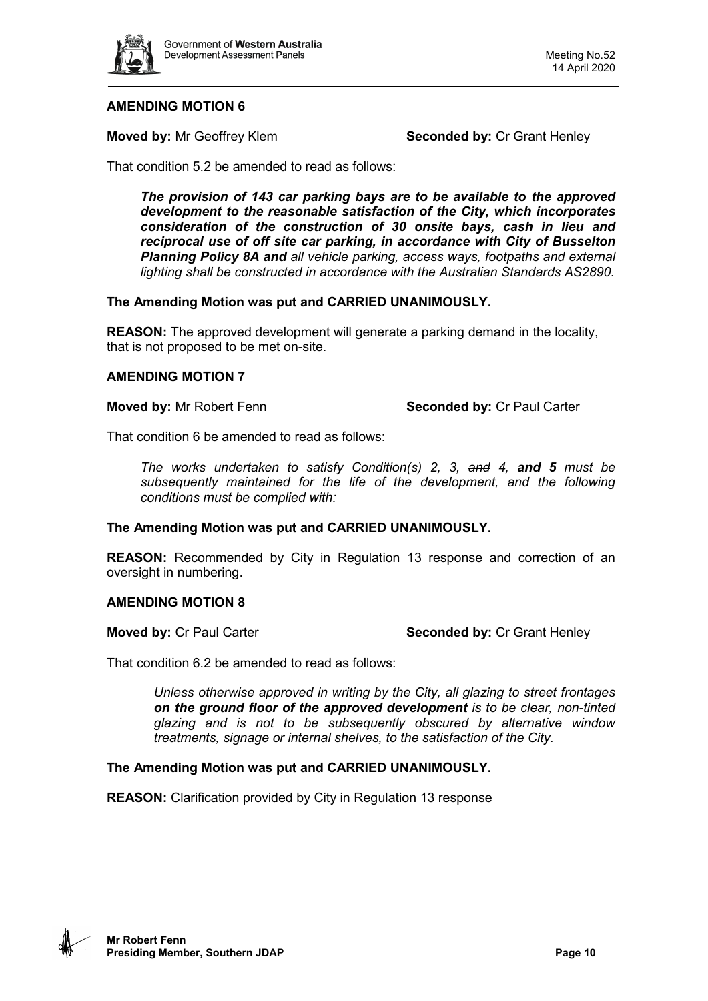

**Moved by:** Mr Geoffrey Klem **Seconded by:** Cr Grant Henley

That condition 5.2 be amended to read as follows:

*The provision of 143 car parking bays are to be available to the approved development to the reasonable satisfaction of the City, which incorporates consideration of the construction of 30 onsite bays, cash in lieu and reciprocal use of off site car parking, in accordance with City of Busselton Planning Policy 8A and all vehicle parking, access ways, footpaths and external lighting shall be constructed in accordance with the Australian Standards AS2890.* 

### **The Amending Motion was put and CARRIED UNANIMOUSLY.**

**REASON:** The approved development will generate a parking demand in the locality, that is not proposed to be met on-site.

### **AMENDING MOTION 7**

**Moved by:** Mr Robert Fenn **Seconded by: Cr Paul Carter** 

That condition 6 be amended to read as follows:

*The works undertaken to satisfy Condition(s) 2, 3, and 4, and 5 must be subsequently maintained for the life of the development, and the following conditions must be complied with:* 

#### **The Amending Motion was put and CARRIED UNANIMOUSLY.**

**REASON:** Recommended by City in Regulation 13 response and correction of an oversight in numbering.

# **AMENDING MOTION 8**

**Moved by:** Cr Paul Carter **Seconded by: Cr Grant Henley Seconded by: Cr Grant Henley** 

That condition 6.2 be amended to read as follows:

*Unless otherwise approved in writing by the City, all glazing to street frontages on the ground floor of the approved development is to be clear, non-tinted glazing and is not to be subsequently obscured by alternative window treatments, signage or internal shelves, to the satisfaction of the City.*

# **The Amending Motion was put and CARRIED UNANIMOUSLY.**

**REASON:** Clarification provided by City in Regulation 13 response

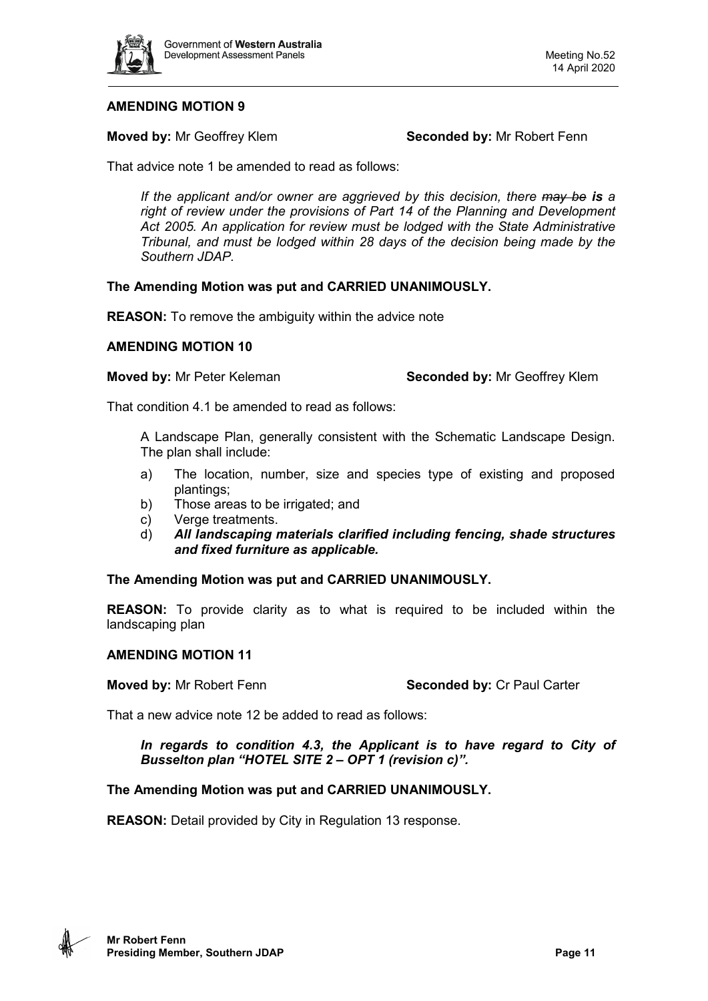

**Moved by:** Mr Geoffrey Klem **Seconded by:** Mr Robert Fenn

That advice note 1 be amended to read as follows:

*If the applicant and/or owner are aggrieved by this decision, there may be is a right of review under the provisions of Part 14 of the Planning and Development Act 2005. An application for review must be lodged with the State Administrative Tribunal, and must be lodged within 28 days of the decision being made by the Southern JDAP.*

# **The Amending Motion was put and CARRIED UNANIMOUSLY.**

**REASON:** To remove the ambiguity within the advice note

### **AMENDING MOTION 10**

**Moved by:** Mr Peter Keleman **Seconded by:** Mr Geoffrey Klem

That condition 4.1 be amended to read as follows:

A Landscape Plan, generally consistent with the Schematic Landscape Design. The plan shall include:

- a) The location, number, size and species type of existing and proposed plantings;
- b) Those areas to be irrigated; and
- c) Verge treatments.
- d) *All landscaping materials clarified including fencing, shade structures and fixed furniture as applicable.*

# **The Amending Motion was put and CARRIED UNANIMOUSLY.**

**REASON:** To provide clarity as to what is required to be included within the landscaping plan

#### **AMENDING MOTION 11**

**Moved by:** Mr Robert Fenn **Seconded by:** Cr Paul Carter

That a new advice note 12 be added to read as follows:

*In regards to condition 4.3, the Applicant is to have regard to City of Busselton plan "HOTEL SITE 2 – OPT 1 (revision c)".*

# **The Amending Motion was put and CARRIED UNANIMOUSLY.**

**REASON:** Detail provided by City in Regulation 13 response.

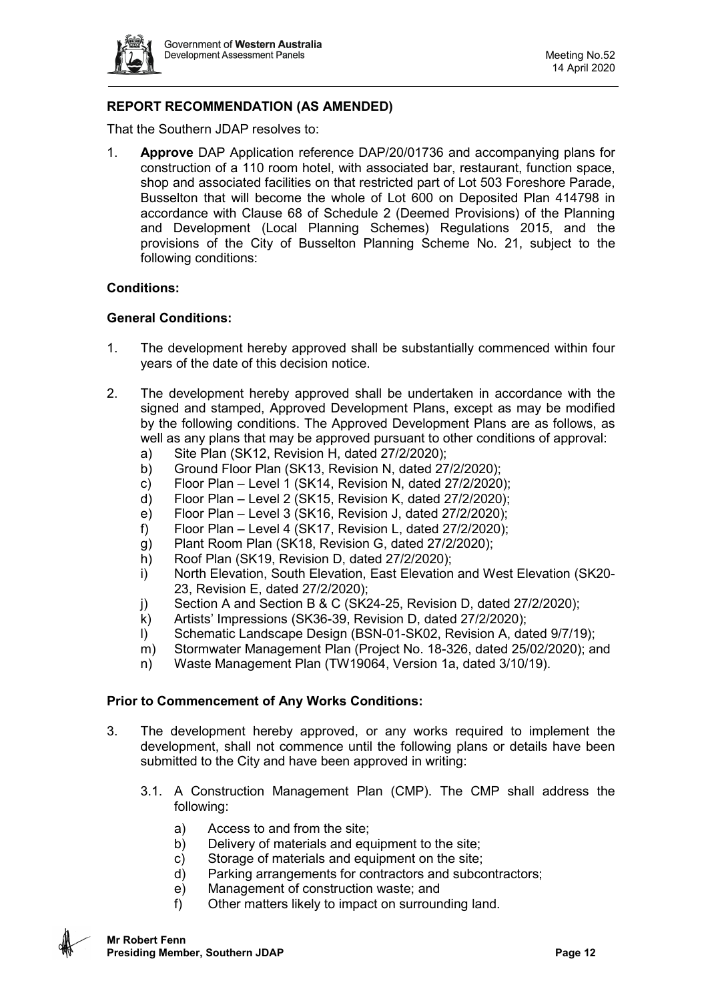

# **REPORT RECOMMENDATION (AS AMENDED)**

That the Southern JDAP resolves to:

1. **Approve** DAP Application reference DAP/20/01736 and accompanying plans for construction of a 110 room hotel, with associated bar, restaurant, function space, shop and associated facilities on that restricted part of Lot 503 Foreshore Parade, Busselton that will become the whole of Lot 600 on Deposited Plan 414798 in accordance with Clause 68 of Schedule 2 (Deemed Provisions) of the Planning and Development (Local Planning Schemes) Regulations 2015, and the provisions of the City of Busselton Planning Scheme No. 21, subject to the following conditions:

### **Conditions:**

### **General Conditions:**

- 1. The development hereby approved shall be substantially commenced within four years of the date of this decision notice.
- 2. The development hereby approved shall be undertaken in accordance with the signed and stamped, Approved Development Plans, except as may be modified by the following conditions. The Approved Development Plans are as follows, as well as any plans that may be approved pursuant to other conditions of approval:
	- a) Site Plan (SK12, Revision H, dated 27/2/2020);
	- b) Ground Floor Plan (SK13, Revision N, dated 27/2/2020);
	- c) Floor Plan Level 1 (SK14, Revision N, dated 27/2/2020);
	- d) Floor Plan Level 2 (SK15, Revision K, dated 27/2/2020);
	- e) Floor Plan Level 3 (SK16, Revision J, dated  $27/2/2020$ );
	- f) Floor Plan Level 4 (SK17, Revision L, dated  $27/2/2020$ );
	- g) Plant Room Plan (SK18, Revision G, dated 27/2/2020);
	- h) Roof Plan (SK19, Revision D, dated 27/2/2020);
	- i) North Elevation, South Elevation, East Elevation and West Elevation (SK20- 23, Revision E, dated 27/2/2020);
	- j) Section A and Section B & C (SK24-25, Revision D, dated 27/2/2020);
	- k) Artists' Impressions (SK36-39, Revision D, dated 27/2/2020);
	- l) Schematic Landscape Design (BSN-01-SK02, Revision A, dated 9/7/19);
	- m) Stormwater Management Plan (Project No. 18-326, dated 25/02/2020); and
	- n) Waste Management Plan (TW19064, Version 1a, dated 3/10/19).

#### **Prior to Commencement of Any Works Conditions:**

- 3. The development hereby approved, or any works required to implement the development, shall not commence until the following plans or details have been submitted to the City and have been approved in writing:
	- 3.1. A Construction Management Plan (CMP). The CMP shall address the following:
		- a) Access to and from the site;
		- b) Delivery of materials and equipment to the site;
		- c) Storage of materials and equipment on the site;
		- d) Parking arrangements for contractors and subcontractors;
		- e) Management of construction waste; and
		- f) Other matters likely to impact on surrounding land.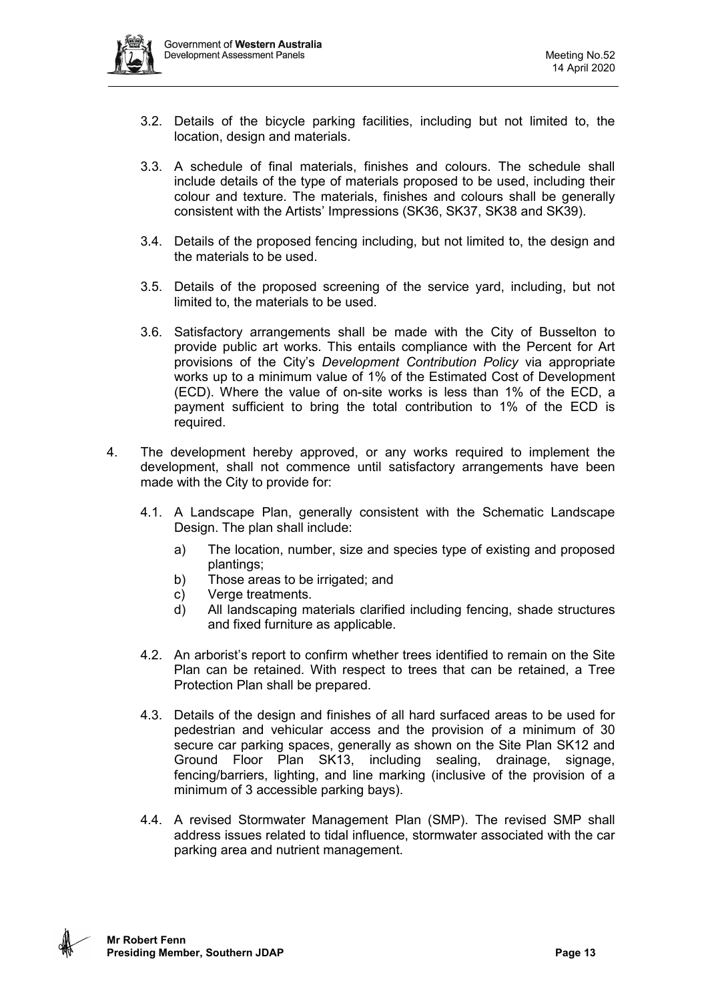- 3.2. Details of the bicycle parking facilities, including but not limited to, the location, design and materials.
- 3.3. A schedule of final materials, finishes and colours. The schedule shall include details of the type of materials proposed to be used, including their colour and texture. The materials, finishes and colours shall be generally consistent with the Artists' Impressions (SK36, SK37, SK38 and SK39).
- 3.4. Details of the proposed fencing including, but not limited to, the design and the materials to be used.
- 3.5. Details of the proposed screening of the service yard, including, but not limited to, the materials to be used.
- 3.6. Satisfactory arrangements shall be made with the City of Busselton to provide public art works. This entails compliance with the Percent for Art provisions of the City's *Development Contribution Policy* via appropriate works up to a minimum value of 1% of the Estimated Cost of Development (ECD). Where the value of on-site works is less than 1% of the ECD, a payment sufficient to bring the total contribution to 1% of the ECD is required.
- 4. The development hereby approved, or any works required to implement the development, shall not commence until satisfactory arrangements have been made with the City to provide for:
	- 4.1. A Landscape Plan, generally consistent with the Schematic Landscape Design. The plan shall include:
		- a) The location, number, size and species type of existing and proposed plantings;
		- b) Those areas to be irrigated; and
		- c) Verge treatments.
		- d) All landscaping materials clarified including fencing, shade structures and fixed furniture as applicable.
	- 4.2. An arborist's report to confirm whether trees identified to remain on the Site Plan can be retained. With respect to trees that can be retained, a Tree Protection Plan shall be prepared.
	- 4.3. Details of the design and finishes of all hard surfaced areas to be used for pedestrian and vehicular access and the provision of a minimum of 30 secure car parking spaces, generally as shown on the Site Plan SK12 and Ground Floor Plan SK13, including sealing, drainage, signage, fencing/barriers, lighting, and line marking (inclusive of the provision of a minimum of 3 accessible parking bays).
	- 4.4. A revised Stormwater Management Plan (SMP). The revised SMP shall address issues related to tidal influence, stormwater associated with the car parking area and nutrient management.

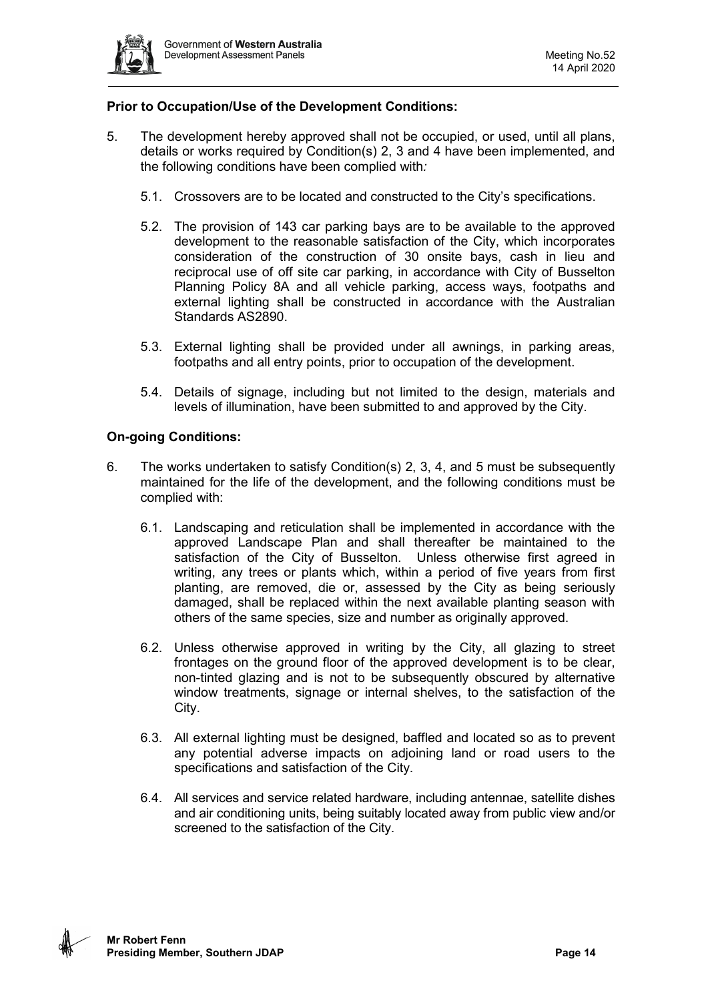

# **Prior to Occupation/Use of the Development Conditions:**

- 5. The development hereby approved shall not be occupied, or used, until all plans, details or works required by Condition(s) 2, 3 and 4 have been implemented, and the following conditions have been complied with*:*
	- 5.1. Crossovers are to be located and constructed to the City's specifications.
	- 5.2. The provision of 143 car parking bays are to be available to the approved development to the reasonable satisfaction of the City, which incorporates consideration of the construction of 30 onsite bays, cash in lieu and reciprocal use of off site car parking, in accordance with City of Busselton Planning Policy 8A and all vehicle parking, access ways, footpaths and external lighting shall be constructed in accordance with the Australian Standards AS2890.
	- 5.3. External lighting shall be provided under all awnings, in parking areas, footpaths and all entry points, prior to occupation of the development.
	- 5.4. Details of signage, including but not limited to the design, materials and levels of illumination, have been submitted to and approved by the City.

# **On-going Conditions:**

- 6. The works undertaken to satisfy Condition(s) 2, 3, 4, and 5 must be subsequently maintained for the life of the development, and the following conditions must be complied with:
	- 6.1. Landscaping and reticulation shall be implemented in accordance with the approved Landscape Plan and shall thereafter be maintained to the satisfaction of the City of Busselton. Unless otherwise first agreed in writing, any trees or plants which, within a period of five years from first planting, are removed, die or, assessed by the City as being seriously damaged, shall be replaced within the next available planting season with others of the same species, size and number as originally approved.
	- 6.2. Unless otherwise approved in writing by the City, all glazing to street frontages on the ground floor of the approved development is to be clear, non-tinted glazing and is not to be subsequently obscured by alternative window treatments, signage or internal shelves, to the satisfaction of the City.
	- 6.3. All external lighting must be designed, baffled and located so as to prevent any potential adverse impacts on adjoining land or road users to the specifications and satisfaction of the City.
	- 6.4. All services and service related hardware, including antennae, satellite dishes and air conditioning units, being suitably located away from public view and/or screened to the satisfaction of the City.

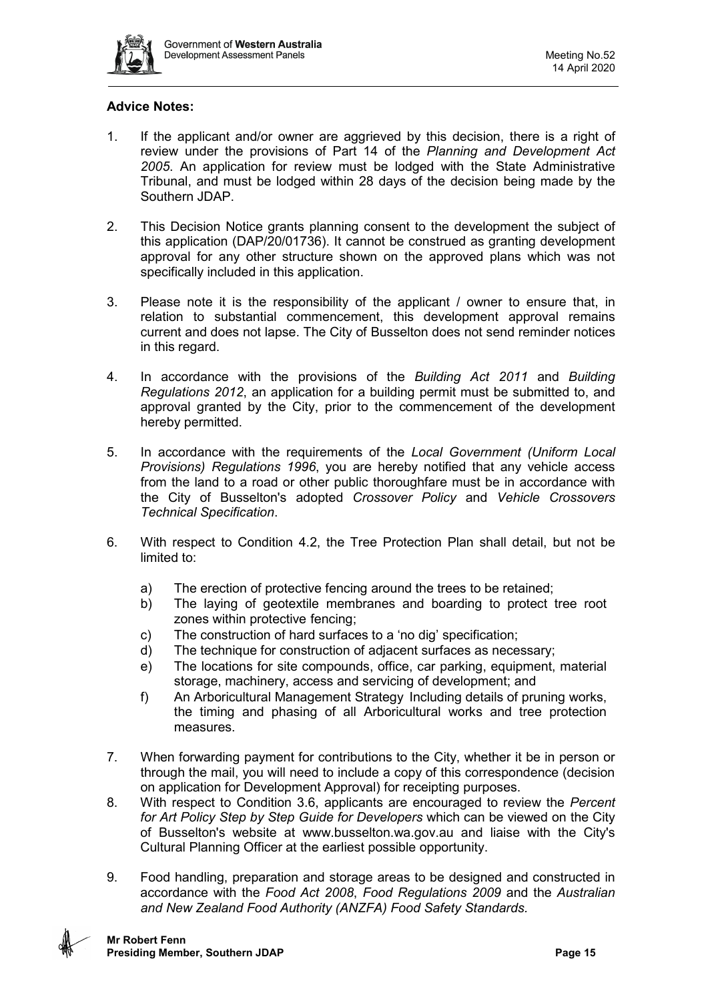

# **Advice Notes:**

- 1. If the applicant and/or owner are aggrieved by this decision, there is a right of review under the provisions of Part 14 of the *Planning and Development Act 2005*. An application for review must be lodged with the State Administrative Tribunal, and must be lodged within 28 days of the decision being made by the Southern JDAP.
- 2. This Decision Notice grants planning consent to the development the subject of this application (DAP/20/01736). It cannot be construed as granting development approval for any other structure shown on the approved plans which was not specifically included in this application.
- 3. Please note it is the responsibility of the applicant / owner to ensure that, in relation to substantial commencement, this development approval remains current and does not lapse. The City of Busselton does not send reminder notices in this regard.
- 4. In accordance with the provisions of the *Building Act 2011* and *Building Regulations 2012*, an application for a building permit must be submitted to, and approval granted by the City, prior to the commencement of the development hereby permitted.
- 5. In accordance with the requirements of the *Local Government (Uniform Local Provisions) Regulations 1996*, you are hereby notified that any vehicle access from the land to a road or other public thoroughfare must be in accordance with the City of Busselton's adopted *Crossover Policy* and *Vehicle Crossovers Technical Specification*.
- 6. With respect to Condition 4.2, the Tree Protection Plan shall detail, but not be limited to:
	- a) The erection of protective fencing around the trees to be retained;
	- b) The laying of geotextile membranes and boarding to protect tree root zones within protective fencing;
	- c) The construction of hard surfaces to a 'no dig' specification;
	- d) The technique for construction of adjacent surfaces as necessary;
	- e) The locations for site compounds, office, car parking, equipment, material storage, machinery, access and servicing of development; and
	- f) An Arboricultural Management Strategy Including details of pruning works, the timing and phasing of all Arboricultural works and tree protection measures.
- 7. When forwarding payment for contributions to the City, whether it be in person or through the mail, you will need to include a copy of this correspondence (decision on application for Development Approval) for receipting purposes.
- 8. With respect to Condition 3.6, applicants are encouraged to review the *Percent for Art Policy Step by Step Guide for Developers* which can be viewed on the City of Busselton's website at www.busselton.wa.gov.au and liaise with the City's Cultural Planning Officer at the earliest possible opportunity.
- 9. Food handling, preparation and storage areas to be designed and constructed in accordance with the *Food Act 2008*, *Food Regulations 2009* and the *Australian and New Zealand Food Authority (ANZFA) Food Safety Standards.*